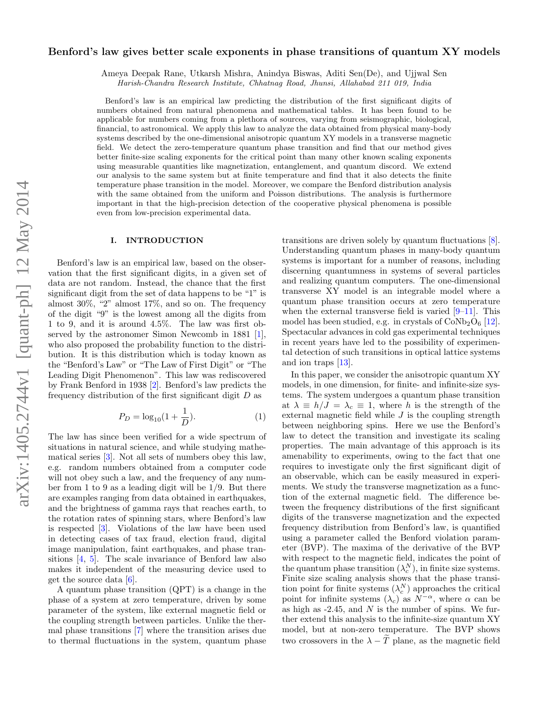# Benford's law gives better scale exponents in phase transitions of quantum XY models

Ameya Deepak Rane, Utkarsh Mishra, Anindya Biswas, Aditi Sen(De), and Ujjwal Sen

Harish-Chandra Research Institute, Chhatnag Road, Jhunsi, Allahabad 211 019, India

Benford's law is an empirical law predicting the distribution of the first significant digits of numbers obtained from natural phenomena and mathematical tables. It has been found to be applicable for numbers coming from a plethora of sources, varying from seismographic, biological, financial, to astronomical. We apply this law to analyze the data obtained from physical many-body systems described by the one-dimensional anisotropic quantum XY models in a transverse magnetic field. We detect the zero-temperature quantum phase transition and find that our method gives better finite-size scaling exponents for the critical point than many other known scaling exponents using measurable quantities like magnetization, entanglement, and quantum discord. We extend our analysis to the same system but at finite temperature and find that it also detects the finite temperature phase transition in the model. Moreover, we compare the Benford distribution analysis with the same obtained from the uniform and Poisson distributions. The analysis is furthermore important in that the high-precision detection of the cooperative physical phenomena is possible even from low-precision experimental data.

### I. INTRODUCTION

Benford's law is an empirical law, based on the observation that the first significant digits, in a given set of data are not random. Instead, the chance that the first significant digit from the set of data happens to be "1" is almost 30%, "2" almost 17%, and so on. The frequency of the digit "9" is the lowest among all the digits from 1 to 9, and it is around 4.5%. The law was first observed by the astronomer Simon Newcomb in 1881 [\[1\]](#page-7-0), who also proposed the probability function to the distribution. It is this distribution which is today known as the "Benford's Law" or "The Law of First Digit" or "The Leading Digit Phenomenon". This law was rediscovered by Frank Benford in 1938 [\[2\]](#page-7-1). Benford's law predicts the frequency distribution of the first significant digit  $D$  as

$$
P_D = \log_{10}(1 + \frac{1}{D}).
$$
\n(1)

The law has since been verified for a wide spectrum of situations in natural science, and while studying mathematical series [\[3\]](#page-7-2). Not all sets of numbers obey this law, e.g. random numbers obtained from a computer code will not obey such a law, and the frequency of any number from 1 to 9 as a leading digit will be 1/9. But there are examples ranging from data obtained in earthquakes, and the brightness of gamma rays that reaches earth, to the rotation rates of spinning stars, where Benford's law is respected [\[3\]](#page-7-2). Violations of the law have been used in detecting cases of tax fraud, election fraud, digital image manipulation, faint earthquakes, and phase transitions [\[4,](#page-7-3) [5\]](#page-7-4). The scale invariance of Benford law also makes it independent of the measuring device used to get the source data [\[6\]](#page-7-5).

A quantum phase transition (QPT) is a change in the phase of a system at zero temperature, driven by some parameter of the system, like external magnetic field or the coupling strength between particles. Unlike the thermal phase transitions [\[7\]](#page-7-6) where the transition arises due to thermal fluctuations in the system, quantum phase

transitions are driven solely by quantum fluctuations [\[8\]](#page-7-7). Understanding quantum phases in many-body quantum systems is important for a number of reasons, including discerning quantumness in systems of several particles and realizing quantum computers. The one-dimensional transverse XY model is an integrable model where a quantum phase transition occurs at zero temperature when the external transverse field is varied  $[9-11]$  $[9-11]$ . This model has been studied, e.g. in crystals of  $\text{CoNb}_2\text{O}_6$  [\[12\]](#page-7-10). Spectacular advances in cold gas experimental techniques in recent years have led to the possibility of experimental detection of such transitions in optical lattice systems and ion traps [\[13\]](#page-7-11).

In this paper, we consider the anisotropic quantum XY models, in one dimension, for finite- and infinite-size systems. The system undergoes a quantum phase transition at  $\lambda \equiv h/J = \lambda_c \equiv 1$ , where h is the strength of the external magnetic field while  $J$  is the coupling strength between neighboring spins. Here we use the Benford's law to detect the transition and investigate its scaling properties. The main advantage of this approach is its amenability to experiments, owing to the fact that one requires to investigate only the first significant digit of an observable, which can be easily measured in experiments. We study the transverse magnetization as a function of the external magnetic field. The difference between the frequency distributions of the first significant digits of the transverse magnetization and the expected frequency distribution from Benford's law, is quantified using a parameter called the Benford violation parameter (BVP). The maxima of the derivative of the BVP with respect to the magnetic field, indicates the point of the quantum phase transition  $(\lambda_c^N)$ , in finite size systems. Finite size scaling analysis shows that the phase transition point for finite systems  $(\lambda_c^N)$  approaches the critical point for infinite systems  $(\lambda_c)$  as  $N^{-\alpha}$ , where  $\alpha$  can be as high as  $-2.45$ , and N is the number of spins. We further extend this analysis to the infinite-size quantum XY model, but at non-zero temperature. The BVP shows two crossovers in the  $\lambda - \tilde{T}$  plane, as the magnetic field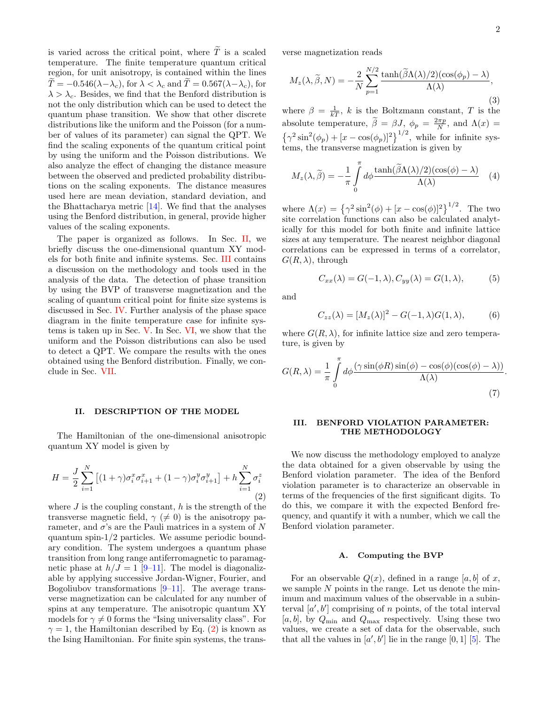is varied across the critical point, where  $\widetilde{T}$  is a scaled temperature. The finite temperature quantum critical region, for unit anisotropy, is contained within the lines  $\widetilde{T} = -0.546(\lambda - \lambda_c)$ , for  $\lambda < \lambda_c$  and  $\widetilde{T} = 0.567(\lambda - \lambda_c)$ , for  $\lambda > \lambda_c$ . Besides, we find that the Benford distribution is not the only distribution which can be used to detect the quantum phase transition. We show that other discrete distributions like the uniform and the Poisson (for a number of values of its parameter) can signal the QPT. We find the scaling exponents of the quantum critical point by using the uniform and the Poisson distributions. We also analyze the effect of changing the distance measure between the observed and predicted probability distributions on the scaling exponents. The distance measures used here are mean deviation, standard deviation, and the Bhattacharya metric [\[14\]](#page-7-12). We find that the analyses using the Benford distribution, in general, provide higher values of the scaling exponents.

The paper is organized as follows. In Sec. [II,](#page-1-0) we briefly discuss the one-dimensional quantum XY models for both finite and infinite systems. Sec. [III](#page-1-1) contains a discussion on the methodology and tools used in the analysis of the data. The detection of phase transition by using the BVP of transverse magnetization and the scaling of quantum critical point for finite size systems is discussed in Sec. [IV.](#page-2-0) Further analysis of the phase space diagram in the finite temperature case for infinite systems is taken up in Sec. [V.](#page-4-0) In Sec. [VI,](#page-5-0) we show that the uniform and the Poisson distributions can also be used to detect a QPT. We compare the results with the ones obtained using the Benford distribution. Finally, we conclude in Sec. [VII.](#page-6-0)

### <span id="page-1-0"></span>II. DESCRIPTION OF THE MODEL

The Hamiltonian of the one-dimensional anisotropic quantum XY model is given by

<span id="page-1-2"></span>
$$
H = \frac{J}{2} \sum_{i=1}^{N} \left[ (1+\gamma)\sigma_i^x \sigma_{i+1}^x + (1-\gamma)\sigma_i^y \sigma_{i+1}^y \right] + h \sum_{i=1}^{N} \sigma_i^z
$$
\n(2)

where  $J$  is the coupling constant,  $h$  is the strength of the transverse magnetic field,  $\gamma$  ( $\neq$  0) is the anisotropy parameter, and  $\sigma$ 's are the Pauli matrices in a system of N quantum spin-1/2 particles. We assume periodic boundary condition. The system undergoes a quantum phase transition from long range antiferromagnetic to paramagnetic phase at  $h/J = 1$  [\[9–](#page-7-8)[11\]](#page-7-9). The model is diagonalizable by applying successive Jordan-Wigner, Fourier, and Bogoliubov transformations [\[9–](#page-7-8)[11\]](#page-7-9). The average transverse magnetization can be calculated for any number of spins at any temperature. The anisotropic quantum XY models for  $\gamma \neq 0$  forms the "Ising universality class". For  $\gamma = 1$ , the Hamiltonian described by Eq. [\(2\)](#page-1-2) is known as the Ising Hamiltonian. For finite spin systems, the transverse magnetization reads

$$
M_z(\lambda, \tilde{\beta}, N) = -\frac{2}{N} \sum_{p=1}^{N/2} \frac{\tanh(\tilde{\beta}\Lambda(\lambda)/2)(\cos(\phi_p) - \lambda)}{\Lambda(\lambda)},
$$
\n(3)

where  $\beta = \frac{1}{kT}$ , k is the Boltzmann constant, T is the absolute temperature,  $\widetilde{\beta} = \beta J$ ,  $\phi_p = \frac{2\pi p}{N}$ , and  $\Lambda(x) =$  $\{\gamma^2 \sin^2(\phi_p) + [x - \cos(\phi_p)]^2\}^{1/2}$ , while for infinite systems, the transverse magnetization is given by

<span id="page-1-3"></span>
$$
M_z(\lambda, \tilde{\beta}) = -\frac{1}{\pi} \int_0^{\pi} d\phi \frac{\tanh(\tilde{\beta}\Lambda(\lambda)/2)(\cos(\phi) - \lambda)}{\Lambda(\lambda)} \tag{4}
$$

where  $\Lambda(x) = \left\{ \gamma^2 \sin^2(\phi) + [x - \cos(\phi)]^2 \right\}^{1/2}$ . The two site correlation functions can also be calculated analytically for this model for both finite and infinite lattice sizes at any temperature. The nearest neighbor diagonal correlations can be expressed in terms of a correlator,  $G(R, \lambda)$ , through

$$
C_{xx}(\lambda) = G(-1, \lambda), C_{yy}(\lambda) = G(1, \lambda), \tag{5}
$$

and

$$
C_{zz}(\lambda) = [M_z(\lambda)]^2 - G(-1,\lambda)G(1,\lambda),\tag{6}
$$

where  $G(R, \lambda)$ , for infinite lattice size and zero temperature, is given by

$$
G(R,\lambda) = \frac{1}{\pi} \int_{0}^{\pi} d\phi \frac{(\gamma \sin(\phi R) \sin(\phi) - \cos(\phi)(\cos(\phi) - \lambda))}{\Lambda(\lambda)}.
$$
\n(7)

#### <span id="page-1-1"></span>III. BENFORD VIOLATION PARAMETER: THE METHODOLOGY

We now discuss the methodology employed to analyze the data obtained for a given observable by using the Benford violation parameter. The idea of the Benford violation parameter is to characterize an observable in terms of the frequencies of the first significant digits. To do this, we compare it with the expected Benford frequency, and quantify it with a number, which we call the Benford violation parameter.

#### A. Computing the BVP

For an observable  $Q(x)$ , defined in a range [a, b] of x, we sample  $N$  points in the range. Let us denote the minimum and maximum values of the observable in a subinterval  $[a', b']$  comprising of n points, of the total interval [a, b], by  $Q_{\text{min}}$  and  $Q_{\text{max}}$  respectively. Using these two values, we create a set of data for the observable, such that all the values in  $[a', b']$  lie in the range [0, 1] [\[5\]](#page-7-4). The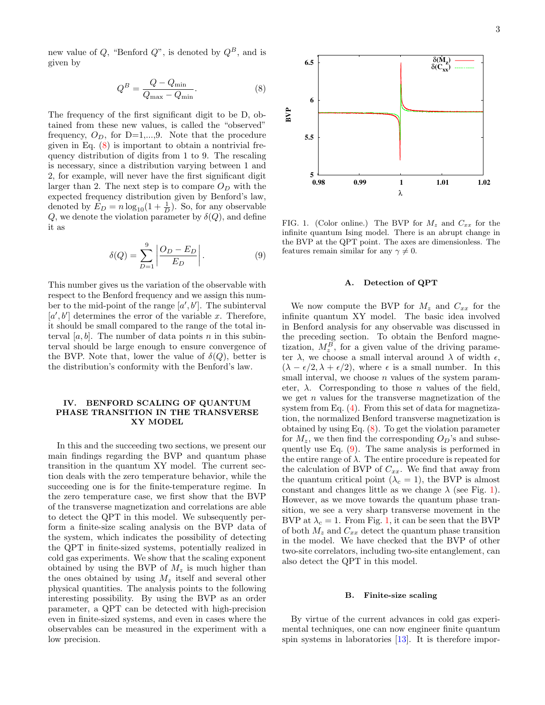new value of Q, "Benford Q", is denoted by  $Q^B$ , and is given by

<span id="page-2-1"></span>
$$
Q^B = \frac{Q - Q_{\min}}{Q_{\max} - Q_{\min}}.\tag{8}
$$

The frequency of the first significant digit to be D, obtained from these new values, is called the "observed" frequency,  $O_D$ , for D=1,...,9. Note that the procedure given in Eq. [\(8\)](#page-2-1) is important to obtain a nontrivial frequency distribution of digits from 1 to 9. The rescaling is necessary, since a distribution varying between 1 and 2, for example, will never have the first significant digit larger than 2. The next step is to compare  $O<sub>D</sub>$  with the expected frequency distribution given by Benford's law, denoted by  $E_D = n \log_{10}(1 + \frac{1}{D})$ . So, for any observable Q, we denote the violation parameter by  $\delta(Q)$ , and define it as

<span id="page-2-2"></span>
$$
\delta(Q) = \sum_{D=1}^{9} \left| \frac{O_D - E_D}{E_D} \right|.
$$
 (9)

This number gives us the variation of the observable with respect to the Benford frequency and we assign this number to the mid-point of the range  $[a', b']$ . The subinterval  $[a', b']$  determines the error of the variable x. Therefore, it should be small compared to the range of the total interval  $[a, b]$ . The number of data points n in this subinterval should be large enough to ensure convergence of the BVP. Note that, lower the value of  $\delta(Q)$ , better is the distribution's conformity with the Benford's law.

## <span id="page-2-0"></span>IV. BENFORD SCALING OF QUANTUM PHASE TRANSITION IN THE TRANSVERSE XY MODEL

In this and the succeeding two sections, we present our main findings regarding the BVP and quantum phase transition in the quantum XY model. The current section deals with the zero temperature behavior, while the succeeding one is for the finite-temperature regime. In the zero temperature case, we first show that the BVP of the transverse magnetization and correlations are able to detect the QPT in this model. We subsequently perform a finite-size scaling analysis on the BVP data of the system, which indicates the possibility of detecting the QPT in finite-sized systems, potentially realized in cold gas experiments. We show that the scaling exponent obtained by using the BVP of  $M_z$  is much higher than the ones obtained by using  $M_z$  itself and several other physical quantities. The analysis points to the following interesting possibility. By using the BVP as an order parameter, a QPT can be detected with high-precision even in finite-sized systems, and even in cases where the observables can be measured in the experiment with a 2, for example, will meve have the first significant digit<br>blarger than 2. The next step is to compare  $O_D$  with the<br>segrect the precision of the step in the system of the system of the denoted by  $E_D = \ln |O_D - E_D|$ . (A) deno



<span id="page-2-3"></span>FIG. 1. (Color online.) The BVP for  $M_z$  and  $C_{xx}$  for the infinite quantum Ising model. There is an abrupt change in the BVP at the QPT point. The axes are dimensionless. The features remain similar for any  $\gamma \neq 0$ .

## A. Detection of QPT

We now compute the BVP for  $M_z$  and  $C_{xx}$  for the infinite quantum XY model. The basic idea involved in Benford analysis for any observable was discussed in the preceding section. To obtain the Benford magnetization,  $M_z^B$ , for a given value of the driving parameter  $\lambda$ , we choose a small interval around  $\lambda$  of width  $\epsilon$ ,  $(\lambda - \epsilon/2, \lambda + \epsilon/2)$ , where  $\epsilon$  is a small number. In this small interval, we choose  $n$  values of the system parameter,  $\lambda$ . Corresponding to those *n* values of the field, we get  $n$  values for the transverse magnetization of the system from Eq.  $(4)$ . From this set of data for magnetization, the normalized Benford transverse magnetization is obtained by using Eq. [\(8\)](#page-2-1). To get the violation parameter for  $M_z$ , we then find the corresponding  $O_D$ 's and subsequently use Eq. [\(9\)](#page-2-2). The same analysis is performed in the entire range of  $\lambda$ . The entire procedure is repeated for the calculation of BVP of  $C_{xx}$ . We find that away from the quantum critical point  $(\lambda_c = 1)$ , the BVP is almost constant and changes little as we change  $\lambda$  (see Fig. [1\)](#page-2-3). However, as we move towards the quantum phase transition, we see a very sharp transverse movement in the BVP at  $\lambda_c = 1$ . From Fig. [1,](#page-2-3) it can be seen that the BVP of both  $M_z$  and  $C_{xx}$  detect the quantum phase transition in the model. We have checked that the BVP of other two-site correlators, including two-site entanglement, can also detect the QPT in this model.

#### B. Finite-size scaling

By virtue of the current advances in cold gas experimental techniques, one can now engineer finite quantum spin systems in laboratories [\[13\]](#page-7-11). It is therefore impor-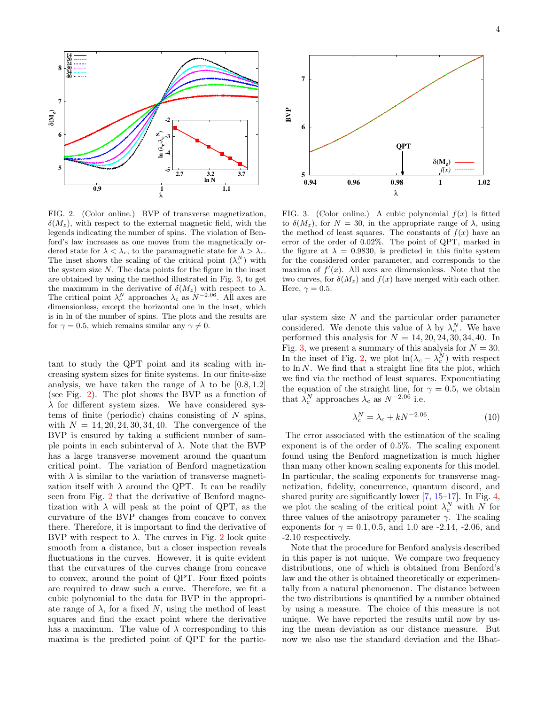

<span id="page-3-1"></span>FIG. 2. (Color online.) BVP of transverse magnetization,  $\delta(M_z)$ , with respect to the external magnetic field, with the legends indicating the number of spins. The violation of Benford's law increases as one moves from the magnetically ordered state for  $\lambda < \lambda_c$ , to the paramagnetic state for  $\lambda > \lambda_c$ . The inset shows the scaling of the critical point  $(\lambda_c^N)$  with the system size  $N$ . The data points for the figure in the inset are obtained by using the method illustrated in Fig. [3,](#page-3-0) to get the maximum in the derivative of  $\delta(M_z)$  with respect to  $\lambda$ . The critical point  $\lambda_c^N$  approaches  $\lambda_c$  as  $N^{-2.06}$ . All axes are dimensionless, except the horizontal one in the inset, which is in ln of the number of spins. The plots and the results are for  $\gamma = 0.5$ , which remains similar any  $\gamma \neq 0$ .

tant to study the QPT point and its scaling with increasing system sizes for finite systems. In our finite-size analysis, we have taken the range of  $\lambda$  to be [0.8, 1.2] (see Fig. [2\)](#page-3-1). The plot shows the BVP as a function of  $\lambda$  for different system sizes. We have considered systems of finite (periodic) chains consisting of  $N$  spins, with  $N = 14, 20, 24, 30, 34, 40$ . The convergence of the BVP is ensured by taking a sufficient number of sample points in each subinterval of  $\lambda$ . Note that the BVP has a large transverse movement around the quantum critical point. The variation of Benford magnetization with  $\lambda$  is similar to the variation of transverse magnetization itself with  $\lambda$  around the QPT. It can be readily seen from Fig. [2](#page-3-1) that the derivative of Benford magnetization with  $\lambda$  will peak at the point of QPT, as the curvature of the BVP changes from concave to convex there. Therefore, it is important to find the derivative of BVP with respect to  $\lambda$ . The curves in Fig. [2](#page-3-1) look quite smooth from a distance, but a closer inspection reveals fluctuations in the curves. However, it is quite evident that the curvatures of the curves change from concave to convex, around the point of QPT. Four fixed points are required to draw such a curve. Therefore, we fit a cubic polynomial to the data for BVP in the appropriate range of  $\lambda$ , for a fixed N, using the method of least squares and find the exact point where the derivative has a maximum. The value of  $\lambda$  corresponding to this maxima is the predicted point of QPT for the partic- **5**



<span id="page-3-0"></span>FIG. 3. (Color online.) A cubic polynomial  $f(x)$  is fitted to  $\delta(M_z)$ , for  $N = 30$ , in the appropriate range of  $\lambda$ , using the method of least squares. The constants of  $f(x)$  have an error of the order of 0.02%. The point of QPT, marked in the figure at  $\lambda = 0.9830$ , is predicted in this finite system for the considered order parameter, and corresponds to the maxima of  $f'(x)$ . All axes are dimensionless. Note that the two curves, for  $\delta(M_z)$  and  $f(x)$  have merged with each other. Here,  $\gamma = 0.5$ .

ular system size  $N$  and the particular order parameter considered. We denote this value of  $\lambda$  by  $\lambda_c^N$ . We have performed this analysis for  $N = 14, 20, 24, 30, 34, 40$ . In Fig. [3,](#page-3-0) we present a summary of this analysis for  $N = 30$ . In the inset of Fig. [2,](#page-3-1) we plot  $\ln(\lambda_c - \lambda_c^N)$  with respect to  $\ln N$ . We find that a straight line fits the plot, which we find via the method of least squares. Exponentiating the equation of the straight line, for  $\gamma = 0.5$ , we obtain that  $\lambda_c^N$  approaches  $\lambda_c$  as  $N^{-2.06}$  i.e.

$$
\lambda_c^N = \lambda_c + kN^{-2.06}.\tag{10}
$$

The error associated with the estimation of the scaling exponent is of the order of 0.5%. The scaling exponent found using the Benford magnetization is much higher than many other known scaling exponents for this model. In particular, the scaling exponents for transverse magnetization, fidelity, concurrence, quantum discord, and shared purity are significantly lower  $[7, 15-17]$  $[7, 15-17]$  $[7, 15-17]$ . In Fig. [4,](#page-4-1) we plot the scaling of the critical point  $\lambda_c^N$  with N for three values of the anisotropy parameter  $\gamma$ . The scaling exponents for  $\gamma = 0.1, 0.5,$  and 1.0 are -2.14, -2.06, and -2.10 respectively.

Note that the procedure for Benford analysis described in this paper is not unique. We compare two frequency distributions, one of which is obtained from Benford's law and the other is obtained theoretically or experimentally from a natural phenomenon. The distance between the two distributions is quantified by a number obtained by using a measure. The choice of this measure is not unique. We have reported the results until now by using the mean deviation as our distance measure. But now we also use the standard deviation and the Bhat-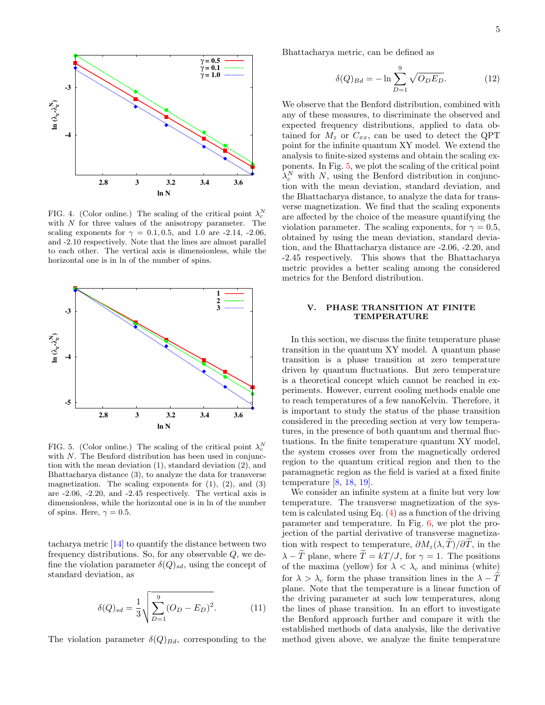

<span id="page-4-1"></span>FIG. 4. (Color online.) The scaling of the critical point  $\lambda_c^N$ with  $N$  for three values of the anisotropy parameter. The scaling exponents for  $\gamma = 0.1, 0.5,$  and 1.0 are -2.14, -2.06, and -2.10 respectively. Note that the lines are almost parallel to each other. The vertical axis is dimensionless, while the horizontal one is in ln of the number of spins.



<span id="page-4-2"></span>FIG. 5. (Color online.) The scaling of the critical point  $\lambda_c^N$ with  $N$ . The Benford distribution has been used in conjunction with the mean deviation (1), standard deviation (2), and Bhattacharya distance (3), to analyze the data for transverse magnetization. The scaling exponents for  $(1)$ ,  $(2)$ , and  $(3)$ are -2.06, -2.20, and -2.45 respectively. The vertical axis is dimensionless, while the horizontal one is in ln of the number of spins. Here,  $\gamma = 0.5$ .

tacharya metric [\[14\]](#page-7-12) to quantify the distance between two frequency distributions. So, for any observable Q, we define the violation parameter  $\delta(Q)_{sd}$ , using the concept of standard deviation, as

$$
\delta(Q)_{sd} = \frac{1}{3} \sqrt{\sum_{D=1}^{9} (O_D - E_D)^2}.
$$
 (11)

The violation parameter  $\delta(Q)_{Bd}$ , corresponding to the

Bhattacharya metric, can be defined as

$$
\delta(Q)_{Bd} = -\ln \sum_{D=1}^{9} \sqrt{O_D E_D}.
$$
 (12)

We observe that the Benford distribution, combined with any of these measures, to discriminate the observed and expected frequency distributions, applied to data obtained for  $M_z$  or  $C_{xx}$ , can be used to detect the QPT point for the infinite quantum XY model. We extend the analysis to finite-sized systems and obtain the scaling exponents. In Fig. [5,](#page-4-2) we plot the scaling of the critical point  $\lambda_c^N$  with N, using the Benford distribution in conjunction with the mean deviation, standard deviation, and the Bhattacharya distance, to analyze the data for transverse magnetization. We find that the scaling exponents are affected by the choice of the measure quantifying the violation parameter. The scaling exponents, for  $\gamma = 0.5$ , obtained by using the mean deviation, standard deviation, and the Bhattacharya distance are -2.06, -2.20, and -2.45 respectively. This shows that the Bhattacharya metric provides a better scaling among the considered metrics for the Benford distribution.

# <span id="page-4-0"></span>V. PHASE TRANSITION AT FINITE TEMPERATURE

In this section, we discuss the finite temperature phase transition in the quantum XY model. A quantum phase transition is a phase transition at zero temperature driven by quantum fluctuations. But zero temperature is a theoretical concept which cannot be reached in experiments. However, current cooling methods enable one to reach temperatures of a few nanoKelvin. Therefore, it is important to study the status of the phase transition considered in the preceding section at very low temperatures, in the presence of both quantum and thermal fluctuations. In the finite temperature quantum XY model, the system crosses over from the magnetically ordered region to the quantum critical region and then to the paramagnetic region as the field is varied at a fixed finite temperature [\[8,](#page-7-7) [18,](#page-7-15) [19\]](#page-7-16).

We consider an infinite system at a finite but very low temperature. The transverse magnetization of the system is calculated using Eq. [\(4\)](#page-1-3) as a function of the driving parameter and temperature. In Fig. [6,](#page-5-1) we plot the projection of the partial derivative of transverse magnetization with respect to temperature,  $\partial M_z(\lambda, T)/\partial T$ , in the  $\lambda - \tilde{T}$  plane, where  $\tilde{T} = kT/J$ , for  $\gamma = 1$ . The positions of the maxima (yellow) for  $\lambda < \lambda_c$  and minima (white) for  $\lambda > \lambda_c$  form the phase transition lines in the  $\lambda - T$ plane. Note that the temperature is a linear function of the driving parameter at such low temperatures, along the lines of phase transition. In an effort to investigate the Benford approach further and compare it with the established methods of data analysis, like the derivative method given above, we analyze the finite temperature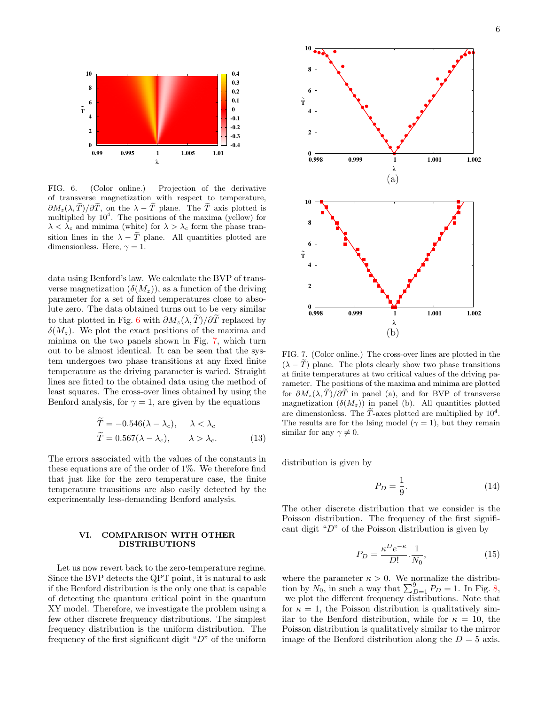

<span id="page-5-1"></span>FIG. 6. (Color online.) Projection of the derivative of transverse magnetization with respect to temperature,  $\partial M_z(\lambda, \tilde{T})/\partial \tilde{T}$ , on the  $\lambda - \tilde{T}$  plane. The  $\tilde{T}$  axis plotted is multiplied by  $10^4$ . The positions of the maxima (yellow) for  $\lambda < \lambda_c$  and minima (white) for  $\lambda > \lambda_c$  form the phase transition lines in the  $\lambda - T$  plane. All quantities plotted are dimensionless. Here,  $\gamma = 1$ .

data using Benford's law. We calculate the BVP of transverse magnetization  $(\delta(M_z))$ , as a function of the driving parameter for a set of fixed temperatures close to absolute zero. The data obtained turns out to be very similar to that plotted in Fig. [6](#page-5-1) with  $\partial M_z(\lambda, \tilde{T})/\partial \tilde{T}$  replaced by  $\delta(M_z)$ . We plot the exact positions of the maxima and minima on the two panels shown in Fig. [7,](#page-5-2) which turn out to be almost identical. It can be seen that the system undergoes two phase transitions at any fixed finite temperature as the driving parameter is varied. Straight lines are fitted to the obtained data using the method of least squares. The cross-over lines obtained by using the Benford analysis, for  $\gamma = 1$ , are given by the equations

$$
T = -0.546(\lambda - \lambda_c), \quad \lambda < \lambda_c
$$
  
\n
$$
\widetilde{T} = 0.567(\lambda - \lambda_c), \quad \lambda > \lambda_c.
$$
\n(13)

The errors associated with the values of the constants in these equations are of the order of 1%. We therefore find that just like for the zero temperature case, the finite temperature transitions are also easily detected by the experimentally less-demanding Benford analysis.

## <span id="page-5-0"></span>VI. COMPARISON WITH OTHER DISTRIBUTIONS

Let us now revert back to the zero-temperature regime. Since the BVP detects the QPT point, it is natural to ask if the Benford distribution is the only one that is capable of detecting the quantum critical point in the quantum XY model. Therefore, we investigate the problem using a few other discrete frequency distributions. The simplest frequency distribution is the uniform distribution. The frequency of the first significant digit " $D$ " of the uniform



<span id="page-5-2"></span>FIG. 7. (Color online.) The cross-over lines are plotted in the  $(\lambda - \widetilde{T})$  plane. The plots clearly show two phase transitions at finite temperatures at two critical values of the driving parameter. The positions of the maxima and minima are plotted for  $\partial M_z(\lambda, \tilde{T})/\partial \tilde{T}$  in panel (a), and for BVP of transverse magnetization  $(\delta(M_z))$  in panel (b). All quantities plotted are dimensionless. The  $\tilde{T}$ -axes plotted are multiplied by  $10^4$ . The results are for the Ising model ( $\gamma = 1$ ), but they remain similar for any  $\gamma \neq 0$ .

distribution is given by

$$
P_D = \frac{1}{9}.\tag{14}
$$

The other discrete distribution that we consider is the Poisson distribution. The frequency of the first significant digit "D" of the Poisson distribution is given by

$$
P_D = \frac{\kappa^D e^{-\kappa}}{D!} \cdot \frac{1}{N_0},\tag{15}
$$

where the parameter  $\kappa > 0$ . We normalize the distribution by  $N_0$ , in such a way that  $\sum_{D=1}^{9} P_D = 1$ . In Fig. [8,](#page-6-1) we plot the different frequency distributions. Note that for  $\kappa = 1$ , the Poisson distribution is qualitatively similar to the Benford distribution, while for  $\kappa = 10$ , the Poisson distribution is qualitatively similar to the mirror image of the Benford distribution along the  $D = 5$  axis.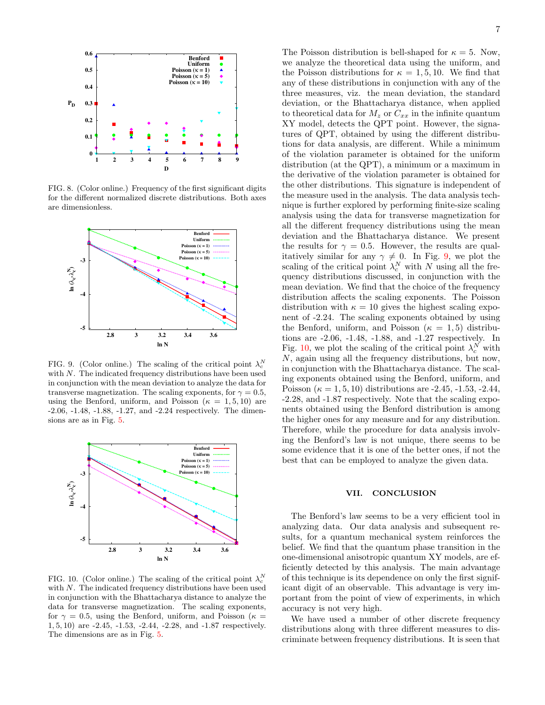

<span id="page-6-1"></span>FIG. 8. (Color online.) Frequency of the first significant digits for the different normalized discrete distributions. Both axes are dimensionless.



<span id="page-6-2"></span>FIG. 9. (Color online.) The scaling of the critical point  $\lambda_c^N$ with  $N$ . The indicated frequency distributions have been used in conjunction with the mean deviation to analyze the data for transverse magnetization. The scaling exponents, for  $\gamma = 0.5$ , using the Benford, uniform, and Poisson ( $\kappa = 1, 5, 10$ ) are -2.06, -1.48, -1.88, -1.27, and -2.24 respectively. The dimensions are as in Fig. [5.](#page-4-2)



<span id="page-6-3"></span>FIG. 10. (Color online.) The scaling of the critical point  $\lambda_c^N$ with  $N$ . The indicated frequency distributions have been used in conjunction with the Bhattacharya distance to analyze the data for transverse magnetization. The scaling exponents, for  $\gamma = 0.5$ , using the Benford, uniform, and Poisson ( $\kappa =$ 1, 5, 10) are -2.45, -1.53, -2.44, -2.28, and -1.87 respectively. The dimensions are as in Fig. [5.](#page-4-2)

The Poisson distribution is bell-shaped for  $\kappa = 5$ . Now, we analyze the theoretical data using the uniform, and the Poisson distributions for  $\kappa = 1, 5, 10$ . We find that any of these distributions in conjunction with any of the three measures, viz. the mean deviation, the standard deviation, or the Bhattacharya distance, when applied to theoretical data for  $M_z$  or  $C_{xx}$  in the infinite quantum XY model, detects the QPT point. However, the signatures of QPT, obtained by using the different distributions for data analysis, are different. While a minimum of the violation parameter is obtained for the uniform distribution (at the QPT), a minimum or a maximum in the derivative of the violation parameter is obtained for the other distributions. This signature is independent of the measure used in the analysis. The data analysis technique is further explored by performing finite-size scaling analysis using the data for transverse magnetization for all the different frequency distributions using the mean deviation and the Bhattacharya distance. We present the results for  $\gamma = 0.5$ . However, the results are qualitatively similar for any  $\gamma \neq 0$ . In Fig. [9,](#page-6-2) we plot the scaling of the critical point  $\lambda_c^N$  with N using all the frequency distributions discussed, in conjunction with the mean deviation. We find that the choice of the frequency distribution affects the scaling exponents. The Poisson distribution with  $\kappa = 10$  gives the highest scaling exponent of -2.24. The scaling exponents obtained by using the Benford, uniform, and Poisson ( $\kappa = 1, 5$ ) distributions are -2.06, -1.48, -1.88, and -1.27 respectively. In Fig. [10,](#page-6-3) we plot the scaling of the critical point  $\lambda_c^N$  with N, again using all the frequency distributions, but now, in conjunction with the Bhattacharya distance. The scaling exponents obtained using the Benford, uniform, and Poisson ( $\kappa = 1, 5, 10$ ) distributions are -2.45, -1.53, -2.44, -2.28, and -1.87 respectively. Note that the scaling exponents obtained using the Benford distribution is among the higher ones for any measure and for any distribution. Therefore, while the procedure for data analysis involving the Benford's law is not unique, there seems to be some evidence that it is one of the better ones, if not the best that can be employed to analyze the given data.

#### <span id="page-6-0"></span>VII. CONCLUSION

The Benford's law seems to be a very efficient tool in analyzing data. Our data analysis and subsequent results, for a quantum mechanical system reinforces the belief. We find that the quantum phase transition in the one-dimensional anisotropic quantum XY models, are efficiently detected by this analysis. The main advantage of this technique is its dependence on only the first significant digit of an observable. This advantage is very important from the point of view of experiments, in which accuracy is not very high.

We have used a number of other discrete frequency distributions along with three different measures to discriminate between frequency distributions. It is seen that